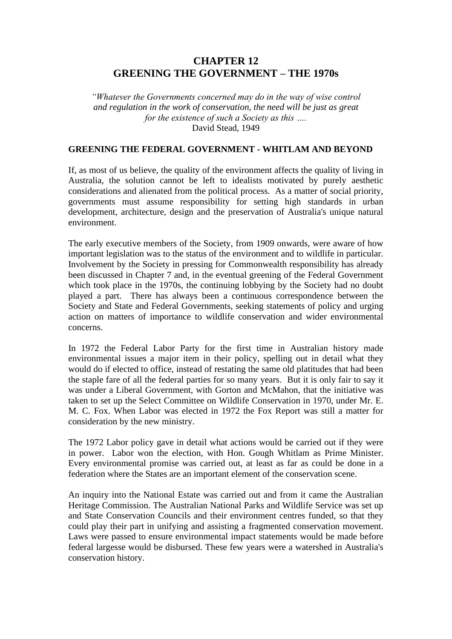# **CHAPTER 12 GREENING THE GOVERNMENT – THE 1970s**

*"Whatever the Governments concerned may do in the way of wise control and regulation in the work of conservation, the need will be just as great for the existence of such a Society as this ….* David Stead, 1949

#### **GREENING THE FEDERAL GOVERNMENT - WHITLAM AND BEYOND**

If, as most of us believe, the quality of the environment affects the quality of living in Australia, the solution cannot be left to idealists motivated by purely aesthetic considerations and alienated from the political process. As a matter of social priority, governments must assume responsibility for setting high standards in urban development, architecture, design and the preservation of Australia's unique natural environment.

The early executive members of the Society, from 1909 onwards, were aware of how important legislation was to the status of the environment and to wildlife in particular. Involvement by the Society in pressing for Commonwealth responsibility has already been discussed in Chapter 7 and, in the eventual greening of the Federal Government which took place in the 1970s, the continuing lobbying by the Society had no doubt played a part. There has always been a continuous correspondence between the Society and State and Federal Governments, seeking statements of policy and urging action on matters of importance to wildlife conservation and wider environmental concerns.

In 1972 the Federal Labor Party for the first time in Australian history made environmental issues a major item in their policy, spelling out in detail what they would do if elected to office, instead of restating the same old platitudes that had been the staple fare of all the federal parties for so many years. But it is only fair to say it was under a Liberal Government, with Gorton and McMahon, that the initiative was taken to set up the Select Committee on Wildlife Conservation in 1970, under Mr. E. M. C. Fox. When Labor was elected in 1972 the Fox Report was still a matter for consideration by the new ministry.

The 1972 Labor policy gave in detail what actions would be carried out if they were in power. Labor won the election, with Hon. Gough Whitlam as Prime Minister. Every environmental promise was carried out, at least as far as could be done in a federation where the States are an important element of the conservation scene.

An inquiry into the National Estate was carried out and from it came the Australian Heritage Commission. The Australian National Parks and Wildlife Service was set up and State Conservation Councils and their environment centres funded, so that they could play their part in unifying and assisting a fragmented conservation movement. Laws were passed to ensure environmental impact statements would be made before federal largesse would be disbursed. These few years were a watershed in Australia's conservation history.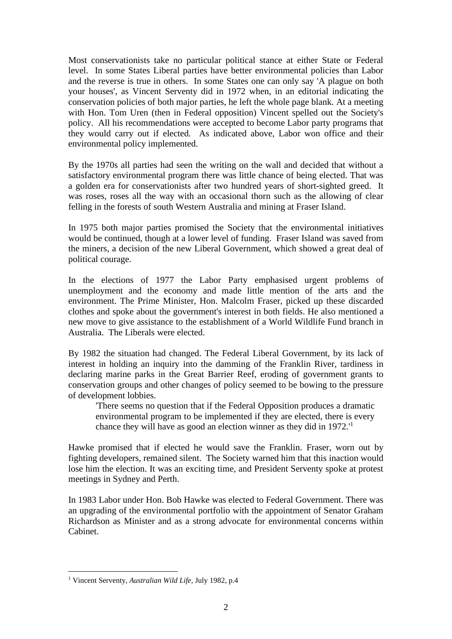Most conservationists take no particular political stance at either State or Federal level. In some States Liberal parties have better environmental policies than Labor and the reverse is true in others. In some States one can only say 'A plague on both your houses', as Vincent Serventy did in 1972 when, in an editorial indicating the conservation policies of both major parties, he left the whole page blank. At a meeting with Hon. Tom Uren (then in Federal opposition) Vincent spelled out the Society's policy. All his recommendations were accepted to become Labor party programs that they would carry out if elected. As indicated above, Labor won office and their environmental policy implemented.

By the 1970s all parties had seen the writing on the wall and decided that without a satisfactory environmental program there was little chance of being elected. That was a golden era for conservationists after two hundred years of short-sighted greed. It was roses, roses all the way with an occasional thorn such as the allowing of clear felling in the forests of south Western Australia and mining at Fraser Island.

In 1975 both major parties promised the Society that the environmental initiatives would be continued, though at a lower level of funding. Fraser Island was saved from the miners, a decision of the new Liberal Government, which showed a great deal of political courage.

In the elections of 1977 the Labor Party emphasised urgent problems of unemployment and the economy and made little mention of the arts and the environment. The Prime Minister, Hon. Malcolm Fraser, picked up these discarded clothes and spoke about the government's interest in both fields. He also mentioned a new move to give assistance to the establishment of a World Wildlife Fund branch in Australia. The Liberals were elected.

By 1982 the situation had changed. The Federal Liberal Government, by its lack of interest in holding an inquiry into the damming of the Franklin River, tardiness in declaring marine parks in the Great Barrier Reef, eroding of government grants to conservation groups and other changes of policy seemed to be bowing to the pressure of development lobbies.

'There seems no question that if the Federal Opposition produces a dramatic environmental program to be implemented if they are elected, there is every chance they will have as good an election winner as they did in 1972.'<sup>1</sup>

Hawke promised that if elected he would save the Franklin. Fraser, worn out by fighting developers, remained silent. The Society warned him that this inaction would lose him the election. It was an exciting time, and President Serventy spoke at protest meetings in Sydney and Perth.

In 1983 Labor under Hon. Bob Hawke was elected to Federal Government. There was an upgrading of the environmental portfolio with the appointment of Senator Graham Richardson as Minister and as a strong advocate for environmental concerns within Cabinet.

<sup>1</sup> Vincent Serventy, *Australian Wild Life,* July 1982, p.4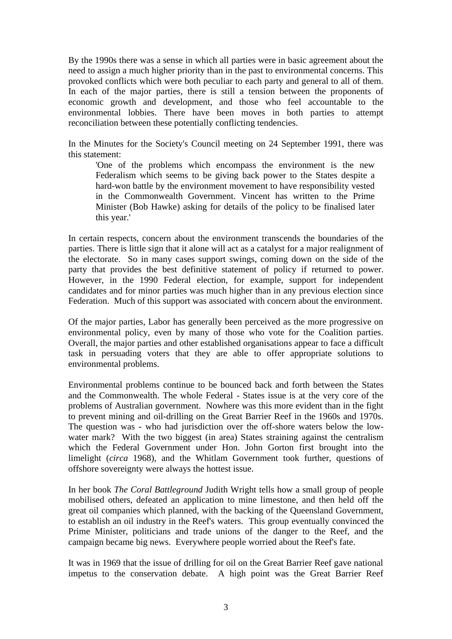By the 1990s there was a sense in which all parties were in basic agreement about the need to assign a much higher priority than in the past to environmental concerns. This provoked conflicts which were both peculiar to each party and general to all of them. In each of the major parties, there is still a tension between the proponents of economic growth and development, and those who feel accountable to the environmental lobbies. There have been moves in both parties to attempt reconciliation between these potentially conflicting tendencies.

In the Minutes for the Society's Council meeting on 24 September 1991, there was this statement:

'One of the problems which encompass the environment is the new Federalism which seems to be giving back power to the States despite a hard-won battle by the environment movement to have responsibility vested in the Commonwealth Government. Vincent has written to the Prime Minister (Bob Hawke) asking for details of the policy to be finalised later this year.'

In certain respects, concern about the environment transcends the boundaries of the parties. There is little sign that it alone will act as a catalyst for a major realignment of the electorate. So in many cases support swings, coming down on the side of the party that provides the best definitive statement of policy if returned to power. However, in the 1990 Federal election, for example, support for independent candidates and for minor parties was much higher than in any previous election since Federation. Much of this support was associated with concern about the environment.

Of the major parties, Labor has generally been perceived as the more progressive on environmental policy, even by many of those who vote for the Coalition parties. Overall, the major parties and other established organisations appear to face a difficult task in persuading voters that they are able to offer appropriate solutions to environmental problems.

Environmental problems continue to be bounced back and forth between the States and the Commonwealth. The whole Federal - States issue is at the very core of the problems of Australian government. Nowhere was this more evident than in the fight to prevent mining and oil-drilling on the Great Barrier Reef in the 1960s and 1970s. The question was - who had jurisdiction over the off-shore waters below the lowwater mark? With the two biggest (in area) States straining against the centralism which the Federal Government under Hon. John Gorton first brought into the limelight (*circa* 1968), and the Whitlam Government took further, questions of offshore sovereignty were always the hottest issue.

In her book *The Coral Battleground* Judith Wright tells how a small group of people mobilised others, defeated an application to mine limestone, and then held off the great oil companies which planned, with the backing of the Queensland Government, to establish an oil industry in the Reef's waters. This group eventually convinced the Prime Minister, politicians and trade unions of the danger to the Reef, and the campaign became big news. Everywhere people worried about the Reef's fate.

It was in 1969 that the issue of drilling for oil on the Great Barrier Reef gave national impetus to the conservation debate. A high point was the Great Barrier Reef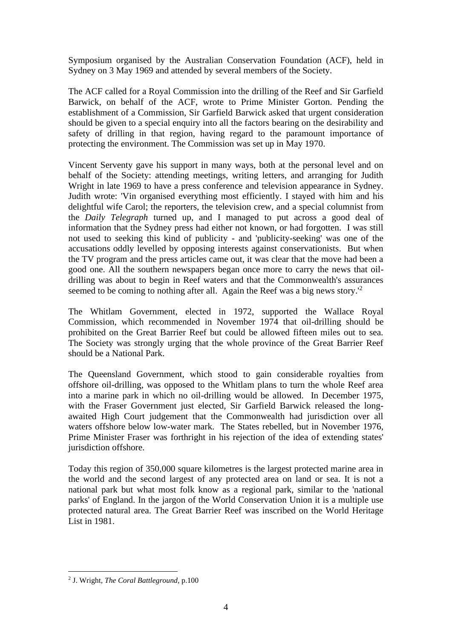Symposium organised by the Australian Conservation Foundation (ACF), held in Sydney on 3 May 1969 and attended by several members of the Society.

The ACF called for a Royal Commission into the drilling of the Reef and Sir Garfield Barwick, on behalf of the ACF, wrote to Prime Minister Gorton. Pending the establishment of a Commission, Sir Garfield Barwick asked that urgent consideration should be given to a special enquiry into all the factors bearing on the desirability and safety of drilling in that region, having regard to the paramount importance of protecting the environment. The Commission was set up in May 1970.

Vincent Serventy gave his support in many ways, both at the personal level and on behalf of the Society: attending meetings, writing letters, and arranging for Judith Wright in late 1969 to have a press conference and television appearance in Sydney. Judith wrote: 'Vin organised everything most efficiently. I stayed with him and his delightful wife Carol; the reporters, the television crew, and a special columnist from the *Daily Telegraph* turned up, and I managed to put across a good deal of information that the Sydney press had either not known, or had forgotten. I was still not used to seeking this kind of publicity - and 'publicity-seeking' was one of the accusations oddly levelled by opposing interests against conservationists. But when the TV program and the press articles came out, it was clear that the move had been a good one. All the southern newspapers began once more to carry the news that oildrilling was about to begin in Reef waters and that the Commonwealth's assurances seemed to be coming to nothing after all. Again the Reef was a big news story.<sup>'2</sup>

The Whitlam Government, elected in 1972, supported the Wallace Royal Commission, which recommended in November 1974 that oil-drilling should be prohibited on the Great Barrier Reef but could be allowed fifteen miles out to sea. The Society was strongly urging that the whole province of the Great Barrier Reef should be a National Park.

The Queensland Government, which stood to gain considerable royalties from offshore oil-drilling, was opposed to the Whitlam plans to turn the whole Reef area into a marine park in which no oil-drilling would be allowed. In December 1975, with the Fraser Government just elected, Sir Garfield Barwick released the longawaited High Court judgement that the Commonwealth had jurisdiction over all waters offshore below low-water mark. The States rebelled, but in November 1976, Prime Minister Fraser was forthright in his rejection of the idea of extending states' jurisdiction offshore.

Today this region of 350,000 square kilometres is the largest protected marine area in the world and the second largest of any protected area on land or sea. It is not a national park but what most folk know as a regional park, similar to the 'national parks' of England. In the jargon of the World Conservation Union it is a multiple use protected natural area. The Great Barrier Reef was inscribed on the World Heritage List in 1981.

<sup>2</sup> J. Wright, *The Coral Battleground,* p.100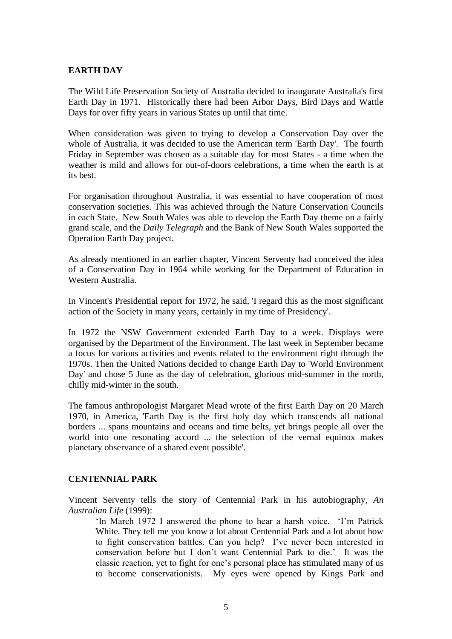#### **EARTH DAY**

The Wild Life Preservation Society of Australia decided to inaugurate Australia's first Earth Day in 1971. Historically there had been Arbor Days, Bird Days and Wattle Days for over fifty years in various States up until that time.

When consideration was given to trying to develop a Conservation Day over the whole of Australia, it was decided to use the American term 'Earth Day'. The fourth Friday in September was chosen as a suitable day for most States - a time when the weather is mild and allows for out-of-doors celebrations, a time when the earth is at its best.

For organisation throughout Australia, it was essential to have cooperation of most conservation societies. This was achieved through the Nature Conservation Councils in each State. New South Wales was able to develop the Earth Day theme on a fairly grand scale, and the *Daily Telegraph* and the Bank of New South Wales supported the Operation Earth Day project.

As already mentioned in an earlier chapter, Vincent Serventy had conceived the idea of a Conservation Day in 1964 while working for the Department of Education in Western Australia.

In Vincent's Presidential report for 1972, he said, 'I regard this as the most significant action of the Society in many years, certainly in my time of Presidency'.

In 1972 the NSW Government extended Earth Day to a week. Displays were organised by the Department of the Environment. The last week in September became a focus for various activities and events related to the environment right through the 1970s. Then the United Nations decided to change Earth Day to 'World Environment Day' and chose 5 June as the day of celebration, glorious mid-summer in the north, chilly mid-winter in the south.

The famous anthropologist Margaret Mead wrote of the first Earth Day on 20 March 1970, in America, 'Earth Day is the first holy day which transcends all national borders ... spans mountains and oceans and time belts, yet brings people all over the world into one resonating accord ... the selection of the vernal equinox makes planetary observance of a shared event possible'.

#### **CENTENNIAL PARK**

Vincent Serventy tells the story of Centennial Park in his autobiography, *An Australian Life* (1999):

'In March 1972 I answered the phone to hear a harsh voice. 'I'm Patrick White. They tell me you know a lot about Centennial Park and a lot about how to fight conservation battles. Can you help? I've never been interested in conservation before but I don't want Centennial Park to die.' It was the classic reaction, yet to fight for one's personal place has stimulated many of us to become conservationists. My eyes were opened by Kings Park and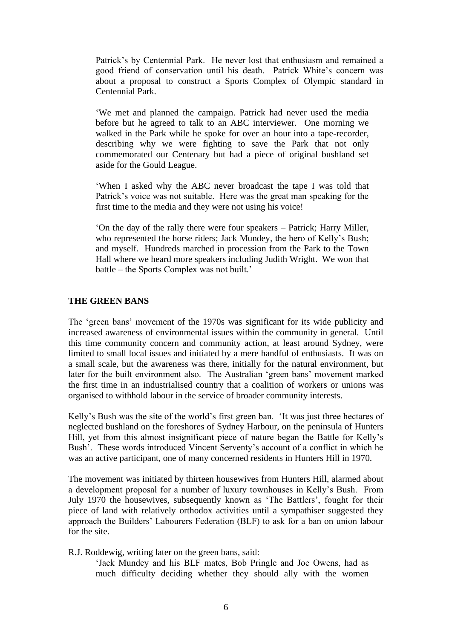Patrick's by Centennial Park. He never lost that enthusiasm and remained a good friend of conservation until his death. Patrick White's concern was about a proposal to construct a Sports Complex of Olympic standard in Centennial Park.

'We met and planned the campaign. Patrick had never used the media before but he agreed to talk to an ABC interviewer. One morning we walked in the Park while he spoke for over an hour into a tape-recorder, describing why we were fighting to save the Park that not only commemorated our Centenary but had a piece of original bushland set aside for the Gould League.

'When I asked why the ABC never broadcast the tape I was told that Patrick's voice was not suitable. Here was the great man speaking for the first time to the media and they were not using his voice!

'On the day of the rally there were four speakers – Patrick; Harry Miller, who represented the horse riders; Jack Mundey, the hero of Kelly's Bush; and myself. Hundreds marched in procession from the Park to the Town Hall where we heard more speakers including Judith Wright. We won that battle – the Sports Complex was not built.'

#### **THE GREEN BANS**

The 'green bans' movement of the 1970s was significant for its wide publicity and increased awareness of environmental issues within the community in general. Until this time community concern and community action, at least around Sydney, were limited to small local issues and initiated by a mere handful of enthusiasts. It was on a small scale, but the awareness was there, initially for the natural environment, but later for the built environment also. The Australian 'green bans' movement marked the first time in an industrialised country that a coalition of workers or unions was organised to withhold labour in the service of broader community interests.

Kelly's Bush was the site of the world's first green ban. 'It was just three hectares of neglected bushland on the foreshores of Sydney Harbour, on the peninsula of Hunters Hill, yet from this almost insignificant piece of nature began the Battle for Kelly's Bush'. These words introduced Vincent Serventy's account of a conflict in which he was an active participant, one of many concerned residents in Hunters Hill in 1970.

The movement was initiated by thirteen housewives from Hunters Hill, alarmed about a development proposal for a number of luxury townhouses in Kelly's Bush. From July 1970 the housewives, subsequently known as 'The Battlers', fought for their piece of land with relatively orthodox activities until a sympathiser suggested they approach the Builders' Labourers Federation (BLF) to ask for a ban on union labour for the site.

R.J. Roddewig, writing later on the green bans, said:

'Jack Mundey and his BLF mates, Bob Pringle and Joe Owens, had as much difficulty deciding whether they should ally with the women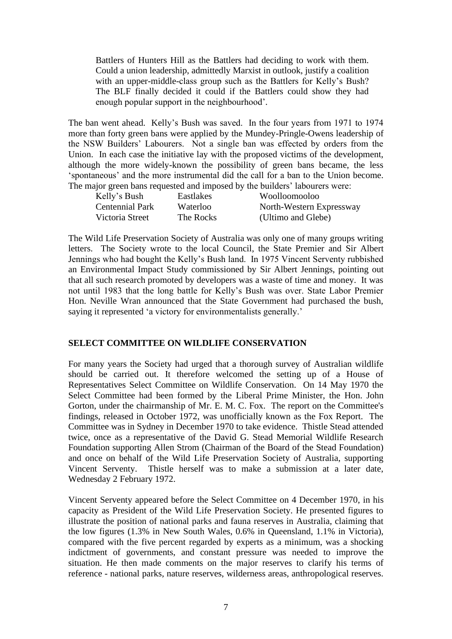Battlers of Hunters Hill as the Battlers had deciding to work with them. Could a union leadership, admittedly Marxist in outlook, justify a coalition with an upper-middle-class group such as the Battlers for Kelly's Bush? The BLF finally decided it could if the Battlers could show they had enough popular support in the neighbourhood'.

The ban went ahead. Kelly's Bush was saved. In the four years from 1971 to 1974 more than forty green bans were applied by the Mundey-Pringle-Owens leadership of the NSW Builders' Labourers. Not a single ban was effected by orders from the Union. In each case the initiative lay with the proposed victims of the development, although the more widely-known the possibility of green bans became, the less 'spontaneous' and the more instrumental did the call for a ban to the Union become. The major green bans requested and imposed by the builders' labourers were:

| Kelly's Bush           | Eastlakes | Woolloomooloo            |
|------------------------|-----------|--------------------------|
| <b>Centennial Park</b> | Waterloo  | North-Western Expressway |
| Victoria Street        | The Rocks | (Ultimo and Glebe)       |

The Wild Life Preservation Society of Australia was only one of many groups writing letters. The Society wrote to the local Council, the State Premier and Sir Albert Jennings who had bought the Kelly's Bush land. In 1975 Vincent Serventy rubbished an Environmental Impact Study commissioned by Sir Albert Jennings, pointing out that all such research promoted by developers was a waste of time and money. It was not until 1983 that the long battle for Kelly's Bush was over. State Labor Premier Hon. Neville Wran announced that the State Government had purchased the bush, saying it represented 'a victory for environmentalists generally.'

#### **SELECT COMMITTEE ON WILDLIFE CONSERVATION**

For many years the Society had urged that a thorough survey of Australian wildlife should be carried out. It therefore welcomed the setting up of a House of Representatives Select Committee on Wildlife Conservation. On 14 May 1970 the Select Committee had been formed by the Liberal Prime Minister, the Hon. John Gorton, under the chairmanship of Mr. E. M. C. Fox. The report on the Committee's findings, released in October 1972, was unofficially known as the Fox Report. The Committee was in Sydney in December 1970 to take evidence. Thistle Stead attended twice, once as a representative of the David G. Stead Memorial Wildlife Research Foundation supporting Allen Strom (Chairman of the Board of the Stead Foundation) and once on behalf of the Wild Life Preservation Society of Australia, supporting Vincent Serventy. Thistle herself was to make a submission at a later date, Wednesday 2 February 1972.

Vincent Serventy appeared before the Select Committee on 4 December 1970, in his capacity as President of the Wild Life Preservation Society. He presented figures to illustrate the position of national parks and fauna reserves in Australia, claiming that the low figures (1.3% in New South Wales, 0.6% in Queensland, 1.1% in Victoria), compared with the five percent regarded by experts as a minimum, was a shocking indictment of governments, and constant pressure was needed to improve the situation. He then made comments on the major reserves to clarify his terms of reference - national parks, nature reserves, wilderness areas, anthropological reserves.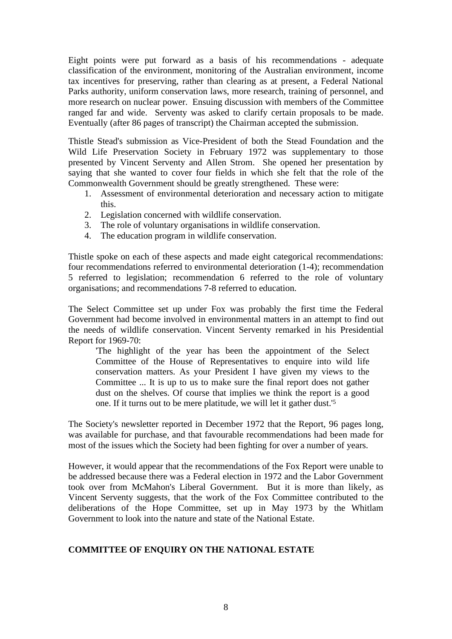Eight points were put forward as a basis of his recommendations - adequate classification of the environment, monitoring of the Australian environment, income tax incentives for preserving, rather than clearing as at present, a Federal National Parks authority, uniform conservation laws, more research, training of personnel, and more research on nuclear power. Ensuing discussion with members of the Committee ranged far and wide. Serventy was asked to clarify certain proposals to be made. Eventually (after 86 pages of transcript) the Chairman accepted the submission.

Thistle Stead's submission as Vice-President of both the Stead Foundation and the Wild Life Preservation Society in February 1972 was supplementary to those presented by Vincent Serventy and Allen Strom. She opened her presentation by saying that she wanted to cover four fields in which she felt that the role of the Commonwealth Government should be greatly strengthened. These were:

- 1. Assessment of environmental deterioration and necessary action to mitigate this.
- 2. Legislation concerned with wildlife conservation.
- 3. The role of voluntary organisations in wildlife conservation.
- 4. The education program in wildlife conservation.

Thistle spoke on each of these aspects and made eight categorical recommendations: four recommendations referred to environmental deterioration (1-4); recommendation 5 referred to legislation; recommendation 6 referred to the role of voluntary organisations; and recommendations 7-8 referred to education.

The Select Committee set up under Fox was probably the first time the Federal Government had become involved in environmental matters in an attempt to find out the needs of wildlife conservation. Vincent Serventy remarked in his Presidential Report for 1969-70:

'The highlight of the year has been the appointment of the Select Committee of the House of Representatives to enquire into wild life conservation matters. As your President I have given my views to the Committee ... It is up to us to make sure the final report does not gather dust on the shelves. Of course that implies we think the report is a good one. If it turns out to be mere platitude, we will let it gather dust.'<sup>5</sup>

The Society's newsletter reported in December 1972 that the Report, 96 pages long, was available for purchase, and that favourable recommendations had been made for most of the issues which the Society had been fighting for over a number of years.

However, it would appear that the recommendations of the Fox Report were unable to be addressed because there was a Federal election in 1972 and the Labor Government took over from McMahon's Liberal Government. But it is more than likely, as Vincent Serventy suggests, that the work of the Fox Committee contributed to the deliberations of the Hope Committee, set up in May 1973 by the Whitlam Government to look into the nature and state of the National Estate.

# **COMMITTEE OF ENQUIRY ON THE NATIONAL ESTATE**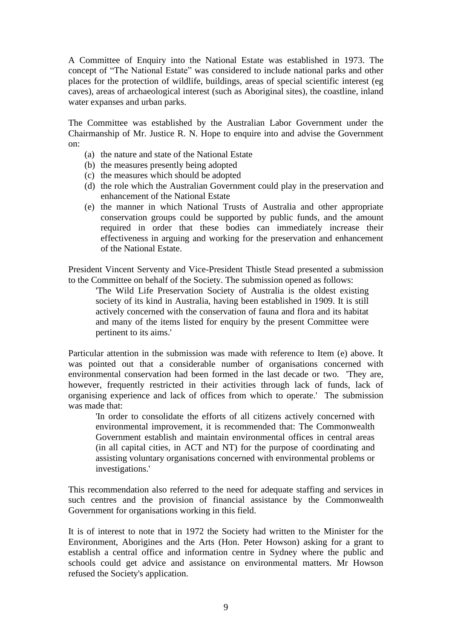A Committee of Enquiry into the National Estate was established in 1973. The concept of "The National Estate" was considered to include national parks and other places for the protection of wildlife, buildings, areas of special scientific interest (eg caves), areas of archaeological interest (such as Aboriginal sites), the coastline, inland water expanses and urban parks.

The Committee was established by the Australian Labor Government under the Chairmanship of Mr. Justice R. N. Hope to enquire into and advise the Government on:

- (a) the nature and state of the National Estate
- (b) the measures presently being adopted
- (c) the measures which should be adopted
- (d) the role which the Australian Government could play in the preservation and enhancement of the National Estate
- (e) the manner in which National Trusts of Australia and other appropriate conservation groups could be supported by public funds, and the amount required in order that these bodies can immediately increase their effectiveness in arguing and working for the preservation and enhancement of the National Estate.

President Vincent Serventy and Vice-President Thistle Stead presented a submission to the Committee on behalf of the Society. The submission opened as follows:

'The Wild Life Preservation Society of Australia is the oldest existing society of its kind in Australia, having been established in 1909. It is still actively concerned with the conservation of fauna and flora and its habitat and many of the items listed for enquiry by the present Committee were pertinent to its aims.'

Particular attention in the submission was made with reference to Item (e) above. It was pointed out that a considerable number of organisations concerned with environmental conservation had been formed in the last decade or two. 'They are, however, frequently restricted in their activities through lack of funds, lack of organising experience and lack of offices from which to operate.' The submission was made that:

'In order to consolidate the efforts of all citizens actively concerned with environmental improvement, it is recommended that: The Commonwealth Government establish and maintain environmental offices in central areas (in all capital cities, in ACT and NT) for the purpose of coordinating and assisting voluntary organisations concerned with environmental problems or investigations.'

This recommendation also referred to the need for adequate staffing and services in such centres and the provision of financial assistance by the Commonwealth Government for organisations working in this field.

It is of interest to note that in 1972 the Society had written to the Minister for the Environment, Aborigines and the Arts (Hon. Peter Howson) asking for a grant to establish a central office and information centre in Sydney where the public and schools could get advice and assistance on environmental matters. Mr Howson refused the Society's application.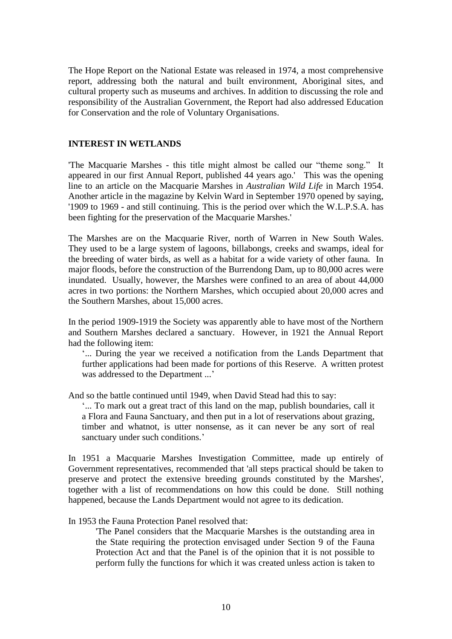The Hope Report on the National Estate was released in 1974, a most comprehensive report, addressing both the natural and built environment, Aboriginal sites, and cultural property such as museums and archives. In addition to discussing the role and responsibility of the Australian Government, the Report had also addressed Education for Conservation and the role of Voluntary Organisations.

#### **INTEREST IN WETLANDS**

'The Macquarie Marshes - this title might almost be called our "theme song." It appeared in our first Annual Report, published 44 years ago.' This was the opening line to an article on the Macquarie Marshes in *Australian Wild Life* in March 1954. Another article in the magazine by Kelvin Ward in September 1970 opened by saying, '1909 to 1969 - and still continuing. This is the period over which the W.L.P.S.A. has been fighting for the preservation of the Macquarie Marshes.'

The Marshes are on the Macquarie River, north of Warren in New South Wales. They used to be a large system of lagoons, billabongs, creeks and swamps, ideal for the breeding of water birds, as well as a habitat for a wide variety of other fauna. In major floods, before the construction of the Burrendong Dam, up to 80,000 acres were inundated. Usually, however, the Marshes were confined to an area of about 44,000 acres in two portions: the Northern Marshes, which occupied about 20,000 acres and the Southern Marshes, about 15,000 acres.

In the period 1909-1919 the Society was apparently able to have most of the Northern and Southern Marshes declared a sanctuary. However, in 1921 the Annual Report had the following item:

'... During the year we received a notification from the Lands Department that further applications had been made for portions of this Reserve. A written protest was addressed to the Department ...'

And so the battle continued until 1949, when David Stead had this to say:

'... To mark out a great tract of this land on the map, publish boundaries, call it a Flora and Fauna Sanctuary, and then put in a lot of reservations about grazing, timber and whatnot, is utter nonsense, as it can never be any sort of real sanctuary under such conditions.'

In 1951 a Macquarie Marshes Investigation Committee, made up entirely of Government representatives, recommended that 'all steps practical should be taken to preserve and protect the extensive breeding grounds constituted by the Marshes', together with a list of recommendations on how this could be done. Still nothing happened, because the Lands Department would not agree to its dedication.

#### In 1953 the Fauna Protection Panel resolved that:

'The Panel considers that the Macquarie Marshes is the outstanding area in the State requiring the protection envisaged under Section 9 of the Fauna Protection Act and that the Panel is of the opinion that it is not possible to perform fully the functions for which it was created unless action is taken to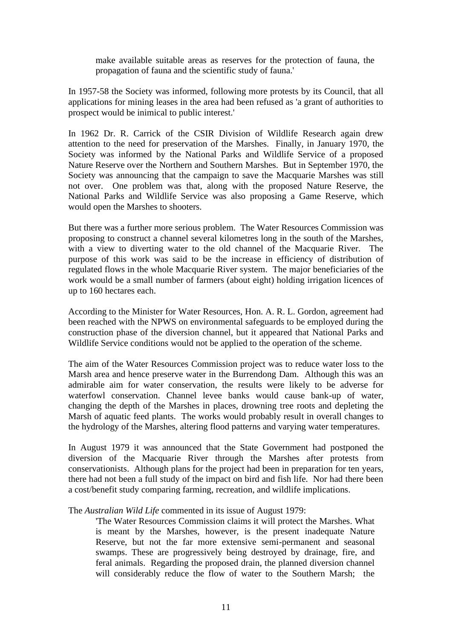make available suitable areas as reserves for the protection of fauna, the propagation of fauna and the scientific study of fauna.'

In 1957-58 the Society was informed, following more protests by its Council, that all applications for mining leases in the area had been refused as 'a grant of authorities to prospect would be inimical to public interest.'

In 1962 Dr. R. Carrick of the CSIR Division of Wildlife Research again drew attention to the need for preservation of the Marshes. Finally, in January 1970, the Society was informed by the National Parks and Wildlife Service of a proposed Nature Reserve over the Northern and Southern Marshes. But in September 1970, the Society was announcing that the campaign to save the Macquarie Marshes was still not over. One problem was that, along with the proposed Nature Reserve, the National Parks and Wildlife Service was also proposing a Game Reserve, which would open the Marshes to shooters.

But there was a further more serious problem. The Water Resources Commission was proposing to construct a channel several kilometres long in the south of the Marshes, with a view to diverting water to the old channel of the Macquarie River. The purpose of this work was said to be the increase in efficiency of distribution of regulated flows in the whole Macquarie River system. The major beneficiaries of the work would be a small number of farmers (about eight) holding irrigation licences of up to 160 hectares each.

According to the Minister for Water Resources, Hon. A. R. L. Gordon, agreement had been reached with the NPWS on environmental safeguards to be employed during the construction phase of the diversion channel, but it appeared that National Parks and Wildlife Service conditions would not be applied to the operation of the scheme.

The aim of the Water Resources Commission project was to reduce water loss to the Marsh area and hence preserve water in the Burrendong Dam. Although this was an admirable aim for water conservation, the results were likely to be adverse for waterfowl conservation. Channel levee banks would cause bank-up of water, changing the depth of the Marshes in places, drowning tree roots and depleting the Marsh of aquatic feed plants. The works would probably result in overall changes to the hydrology of the Marshes, altering flood patterns and varying water temperatures.

In August 1979 it was announced that the State Government had postponed the diversion of the Macquarie River through the Marshes after protests from conservationists. Although plans for the project had been in preparation for ten years, there had not been a full study of the impact on bird and fish life. Nor had there been a cost/benefit study comparing farming, recreation, and wildlife implications.

The *Australian Wild Life* commented in its issue of August 1979:

'The Water Resources Commission claims it will protect the Marshes. What is meant by the Marshes, however, is the present inadequate Nature Reserve, but not the far more extensive semi-permanent and seasonal swamps. These are progressively being destroyed by drainage, fire, and feral animals. Regarding the proposed drain, the planned diversion channel will considerably reduce the flow of water to the Southern Marsh; the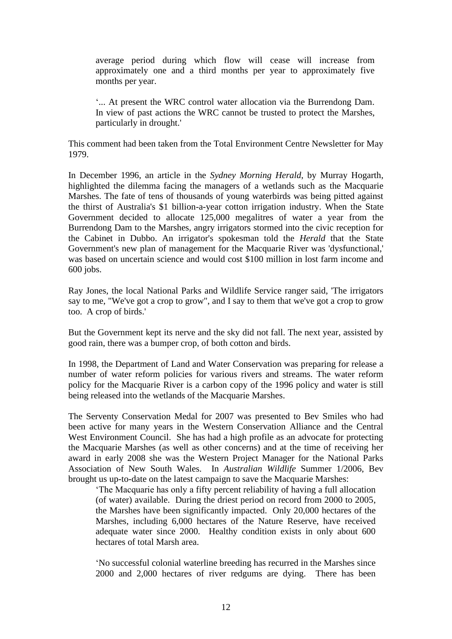average period during which flow will cease will increase from approximately one and a third months per year to approximately five months per year.

'... At present the WRC control water allocation via the Burrendong Dam. In view of past actions the WRC cannot be trusted to protect the Marshes, particularly in drought.'

This comment had been taken from the Total Environment Centre Newsletter for May 1979.

In December 1996, an article in the *Sydney Morning Herald*, by Murray Hogarth, highlighted the dilemma facing the managers of a wetlands such as the Macquarie Marshes. The fate of tens of thousands of young waterbirds was being pitted against the thirst of Australia's \$1 billion-a-year cotton irrigation industry. When the State Government decided to allocate 125,000 megalitres of water a year from the Burrendong Dam to the Marshes, angry irrigators stormed into the civic reception for the Cabinet in Dubbo. An irrigator's spokesman told the *Herald* that the State Government's new plan of management for the Macquarie River was 'dysfunctional,' was based on uncertain science and would cost \$100 million in lost farm income and 600 jobs.

Ray Jones, the local National Parks and Wildlife Service ranger said, 'The irrigators say to me, "We've got a crop to grow", and I say to them that we've got a crop to grow too. A crop of birds.'

But the Government kept its nerve and the sky did not fall. The next year, assisted by good rain, there was a bumper crop, of both cotton and birds.

In 1998, the Department of Land and Water Conservation was preparing for release a number of water reform policies for various rivers and streams. The water reform policy for the Macquarie River is a carbon copy of the 1996 policy and water is still being released into the wetlands of the Macquarie Marshes.

The Serventy Conservation Medal for 2007 was presented to Bev Smiles who had been active for many years in the Western Conservation Alliance and the Central West Environment Council. She has had a high profile as an advocate for protecting the Macquarie Marshes (as well as other concerns) and at the time of receiving her award in early 2008 she was the Western Project Manager for the National Parks Association of New South Wales. In *Australian Wildlife* Summer 1/2006, Bev brought us up-to-date on the latest campaign to save the Macquarie Marshes:

'The Macquarie has only a fifty percent reliability of having a full allocation (of water) available. During the driest period on record from 2000 to 2005, the Marshes have been significantly impacted. Only 20,000 hectares of the Marshes, including 6,000 hectares of the Nature Reserve, have received adequate water since 2000. Healthy condition exists in only about 600 hectares of total Marsh area.

'No successful colonial waterline breeding has recurred in the Marshes since 2000 and 2,000 hectares of river redgums are dying. There has been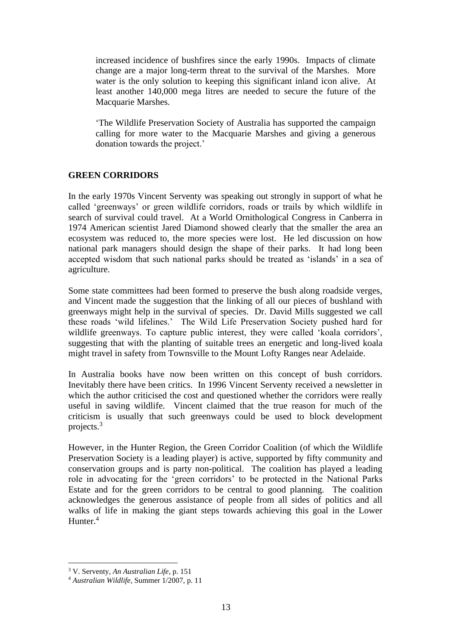increased incidence of bushfires since the early 1990s. Impacts of climate change are a major long-term threat to the survival of the Marshes. More water is the only solution to keeping this significant inland icon alive. At least another 140,000 mega litres are needed to secure the future of the Macquarie Marshes.

'The Wildlife Preservation Society of Australia has supported the campaign calling for more water to the Macquarie Marshes and giving a generous donation towards the project.'

## **GREEN CORRIDORS**

In the early 1970s Vincent Serventy was speaking out strongly in support of what he called 'greenways' or green wildlife corridors, roads or trails by which wildlife in search of survival could travel. At a World Ornithological Congress in Canberra in 1974 American scientist Jared Diamond showed clearly that the smaller the area an ecosystem was reduced to, the more species were lost. He led discussion on how national park managers should design the shape of their parks. It had long been accepted wisdom that such national parks should be treated as 'islands' in a sea of agriculture.

Some state committees had been formed to preserve the bush along roadside verges, and Vincent made the suggestion that the linking of all our pieces of bushland with greenways might help in the survival of species. Dr. David Mills suggested we call these roads 'wild lifelines.' The Wild Life Preservation Society pushed hard for wildlife greenways. To capture public interest, they were called 'koala corridors', suggesting that with the planting of suitable trees an energetic and long-lived koala might travel in safety from Townsville to the Mount Lofty Ranges near Adelaide.

In Australia books have now been written on this concept of bush corridors. Inevitably there have been critics. In 1996 Vincent Serventy received a newsletter in which the author criticised the cost and questioned whether the corridors were really useful in saving wildlife. Vincent claimed that the true reason for much of the criticism is usually that such greenways could be used to block development projects.<sup>3</sup>

However, in the Hunter Region, the Green Corridor Coalition (of which the Wildlife Preservation Society is a leading player) is active, supported by fifty community and conservation groups and is party non-political. The coalition has played a leading role in advocating for the 'green corridors' to be protected in the National Parks Estate and for the green corridors to be central to good planning. The coalition acknowledges the generous assistance of people from all sides of politics and all walks of life in making the giant steps towards achieving this goal in the Lower Hunter.<sup>4</sup>

<sup>3</sup> V. Serventy, *An Australian Life*, p. 151

<sup>4</sup> *Australian Wildlife*, Summer 1/2007, p. 11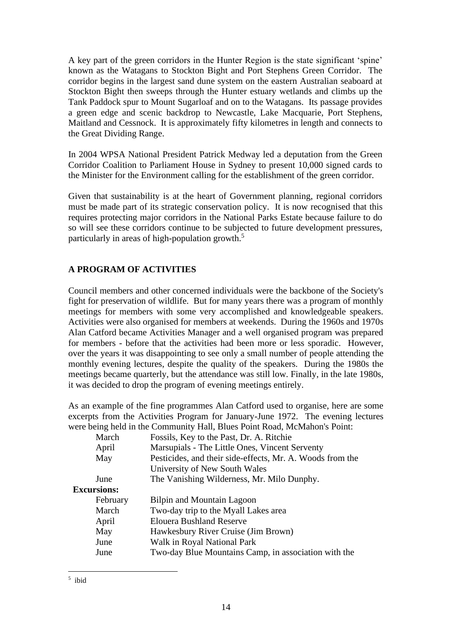A key part of the green corridors in the Hunter Region is the state significant 'spine' known as the Watagans to Stockton Bight and Port Stephens Green Corridor. The corridor begins in the largest sand dune system on the eastern Australian seaboard at Stockton Bight then sweeps through the Hunter estuary wetlands and climbs up the Tank Paddock spur to Mount Sugarloaf and on to the Watagans. Its passage provides a green edge and scenic backdrop to Newcastle, Lake Macquarie, Port Stephens, Maitland and Cessnock. It is approximately fifty kilometres in length and connects to the Great Dividing Range.

In 2004 WPSA National President Patrick Medway led a deputation from the Green Corridor Coalition to Parliament House in Sydney to present 10,000 signed cards to the Minister for the Environment calling for the establishment of the green corridor.

Given that sustainability is at the heart of Government planning, regional corridors must be made part of its strategic conservation policy. It is now recognised that this requires protecting major corridors in the National Parks Estate because failure to do so will see these corridors continue to be subjected to future development pressures, particularly in areas of high-population growth.<sup>5</sup>

# **A PROGRAM OF ACTIVITIES**

Council members and other concerned individuals were the backbone of the Society's fight for preservation of wildlife. But for many years there was a program of monthly meetings for members with some very accomplished and knowledgeable speakers. Activities were also organised for members at weekends. During the 1960s and 1970s Alan Catford became Activities Manager and a well organised program was prepared for members - before that the activities had been more or less sporadic. However, over the years it was disappointing to see only a small number of people attending the monthly evening lectures, despite the quality of the speakers. During the 1980s the meetings became quarterly, but the attendance was still low. Finally, in the late 1980s, it was decided to drop the program of evening meetings entirely.

As an example of the fine programmes Alan Catford used to organise, here are some excerpts from the Activities Program for January-June 1972. The evening lectures were being held in the Community Hall, Blues Point Road, McMahon's Point:

| March              | Fossils, Key to the Past, Dr. A. Ritchie                  |  |
|--------------------|-----------------------------------------------------------|--|
| April              | Marsupials - The Little Ones, Vincent Serventy            |  |
| May                | Pesticides, and their side-effects, Mr. A. Woods from the |  |
|                    | University of New South Wales                             |  |
| June               | The Vanishing Wilderness, Mr. Milo Dunphy.                |  |
| <b>Excursions:</b> |                                                           |  |
| February           | Bilpin and Mountain Lagoon                                |  |
| March              | Two-day trip to the Myall Lakes area                      |  |
| April              | <b>Elouera Bushland Reserve</b>                           |  |
| May                | Hawkesbury River Cruise (Jim Brown)                       |  |
| June               | Walk in Royal National Park                               |  |
| June               | Two-day Blue Mountains Camp, in association with the      |  |
|                    |                                                           |  |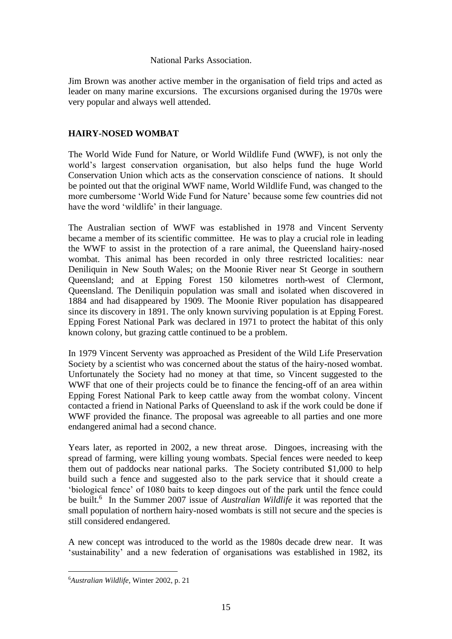#### National Parks Association.

Jim Brown was another active member in the organisation of field trips and acted as leader on many marine excursions. The excursions organised during the 1970s were very popular and always well attended.

## **HAIRY-NOSED WOMBAT**

The World Wide Fund for Nature, or World Wildlife Fund (WWF), is not only the world's largest conservation organisation, but also helps fund the huge World Conservation Union which acts as the conservation conscience of nations. It should be pointed out that the original WWF name, World Wildlife Fund, was changed to the more cumbersome 'World Wide Fund for Nature' because some few countries did not have the word 'wildlife' in their language.

The Australian section of WWF was established in 1978 and Vincent Serventy became a member of its scientific committee. He was to play a crucial role in leading the WWF to assist in the protection of a rare animal, the Queensland hairy-nosed wombat. This animal has been recorded in only three restricted localities: near Deniliquin in New South Wales; on the Moonie River near St George in southern Queensland; and at Epping Forest 150 kilometres north-west of Clermont, Queensland. The Deniliquin population was small and isolated when discovered in 1884 and had disappeared by 1909. The Moonie River population has disappeared since its discovery in 1891. The only known surviving population is at Epping Forest. Epping Forest National Park was declared in 1971 to protect the habitat of this only known colony, but grazing cattle continued to be a problem.

In 1979 Vincent Serventy was approached as President of the Wild Life Preservation Society by a scientist who was concerned about the status of the hairy-nosed wombat. Unfortunately the Society had no money at that time, so Vincent suggested to the WWF that one of their projects could be to finance the fencing-off of an area within Epping Forest National Park to keep cattle away from the wombat colony. Vincent contacted a friend in National Parks of Queensland to ask if the work could be done if WWF provided the finance. The proposal was agreeable to all parties and one more endangered animal had a second chance.

Years later, as reported in 2002, a new threat arose. Dingoes, increasing with the spread of farming, were killing young wombats. Special fences were needed to keep them out of paddocks near national parks. The Society contributed \$1,000 to help build such a fence and suggested also to the park service that it should create a 'biological fence' of 1080 baits to keep dingoes out of the park until the fence could be built.<sup>6</sup> In the Summer 2007 issue of *Australian Wildlife* it was reported that the small population of northern hairy-nosed wombats is still not secure and the species is still considered endangered.

A new concept was introduced to the world as the 1980s decade drew near. It was 'sustainability' and a new federation of organisations was established in 1982, its

<sup>6</sup>*Australian Wildlife,* Winter 2002, p. 21